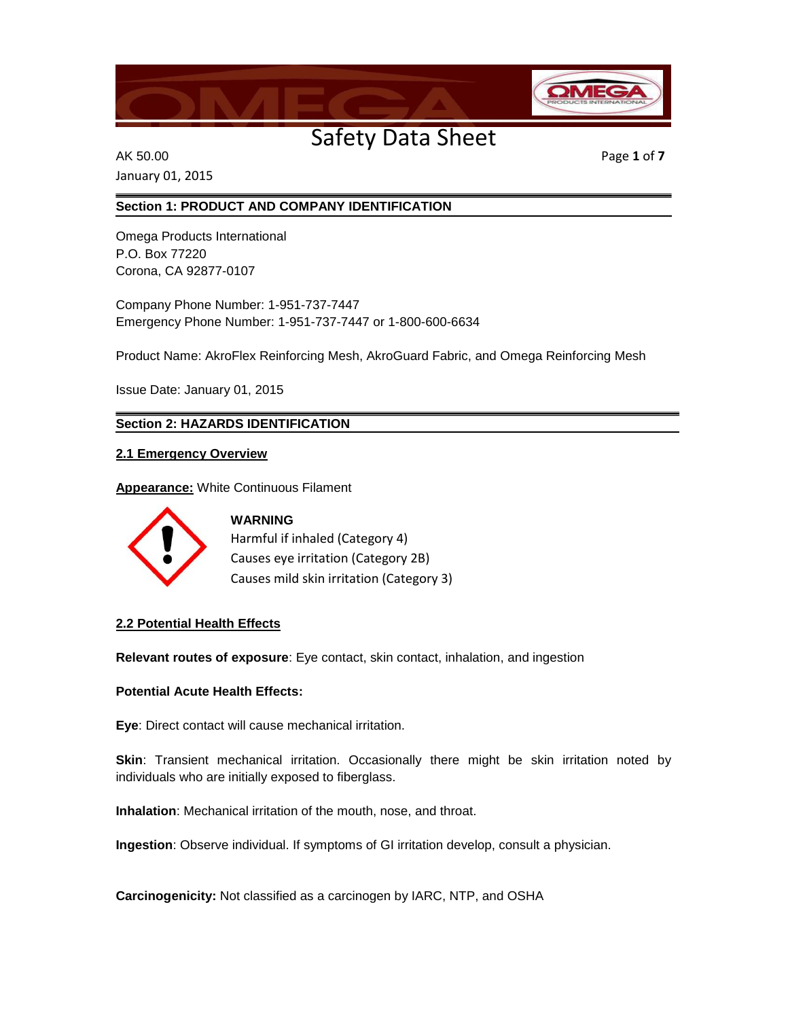

AK 50.00 Page **1** of **7** January 01, 2015

### **Section 1: PRODUCT AND COMPANY IDENTIFICATION**

Omega Products International P.O. Box 77220 Corona, CA 92877-0107

Company Phone Number: 1-951-737-7447 Emergency Phone Number: 1-951-737-7447 or 1-800-600-6634

Product Name: AkroFlex Reinforcing Mesh, AkroGuard Fabric, and Omega Reinforcing Mesh

Issue Date: January 01, 2015

**Section 2: HAZARDS IDENTIFICATION**

### **2.1 Emergency Overview**

**Appearance:** White Continuous Filament



**WARNING** Harmful if inhaled (Category 4) Causes eye irritation (Category 2B) Causes mild skin irritation (Category 3)

### **2.2 Potential Health Effects**

**Relevant routes of exposure**: Eye contact, skin contact, inhalation, and ingestion

### **Potential Acute Health Effects:**

**Eye**: Direct contact will cause mechanical irritation.

**Skin**: Transient mechanical irritation. Occasionally there might be skin irritation noted by individuals who are initially exposed to fiberglass.

**Inhalation**: Mechanical irritation of the mouth, nose, and throat.

**Ingestion**: Observe individual. If symptoms of GI irritation develop, consult a physician.

**Carcinogenicity:** Not classified as a carcinogen by IARC, NTP, and OSHA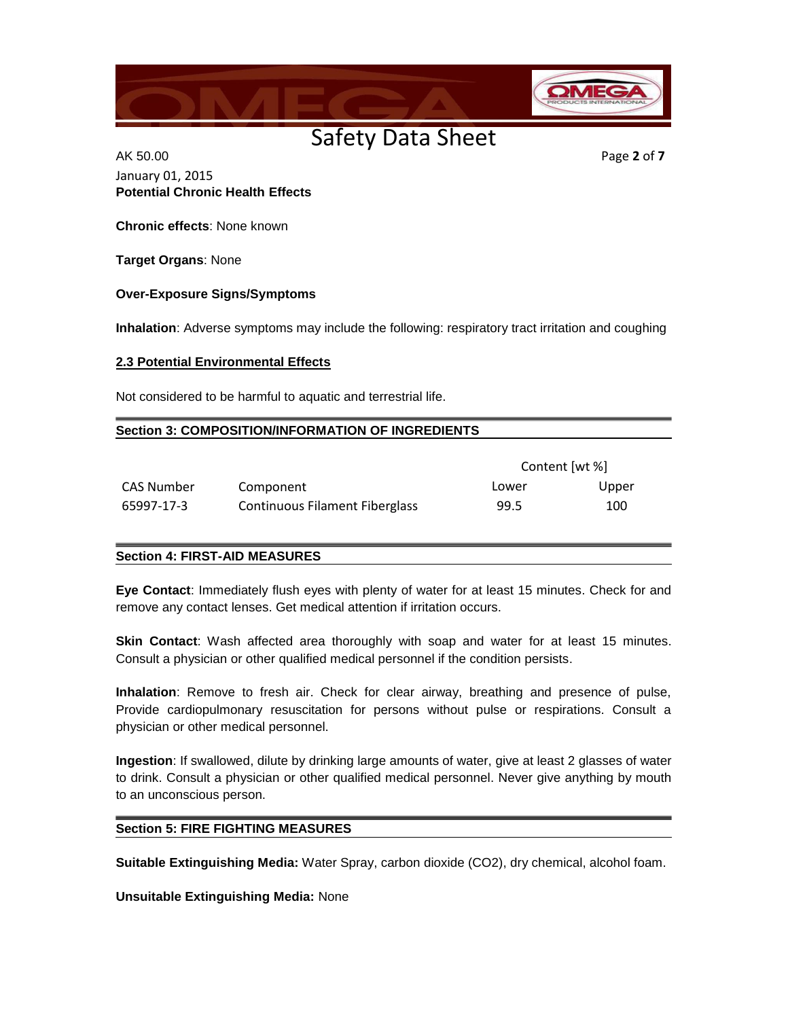

AK 50.00 Page **2** of **7** January 01, 2015 **Potential Chronic Health Effects**

**Chronic effects**: None known

**Target Organs**: None

#### **Over-Exposure Signs/Symptoms**

**Inhalation**: Adverse symptoms may include the following: respiratory tract irritation and coughing

#### **2.3 Potential Environmental Effects**

Not considered to be harmful to aquatic and terrestrial life.

#### **Section 3: COMPOSITION/INFORMATION OF INGREDIENTS**

|            |                                | Content [wt %] |       |
|------------|--------------------------------|----------------|-------|
| CAS Number | Component                      | Lower          | Upper |
| 65997-17-3 | Continuous Filament Fiberglass | 99.5           | 100   |

### **Section 4: FIRST-AID MEASURES**

**Eye Contact**: Immediately flush eyes with plenty of water for at least 15 minutes. Check for and remove any contact lenses. Get medical attention if irritation occurs.

**Skin Contact**: Wash affected area thoroughly with soap and water for at least 15 minutes. Consult a physician or other qualified medical personnel if the condition persists.

**Inhalation**: Remove to fresh air. Check for clear airway, breathing and presence of pulse, Provide cardiopulmonary resuscitation for persons without pulse or respirations. Consult a physician or other medical personnel.

**Ingestion**: If swallowed, dilute by drinking large amounts of water, give at least 2 glasses of water to drink. Consult a physician or other qualified medical personnel. Never give anything by mouth to an unconscious person.

### **Section 5: FIRE FIGHTING MEASURES**

**Suitable Extinguishing Media:** Water Spray, carbon dioxide (CO2), dry chemical, alcohol foam.

**Unsuitable Extinguishing Media:** None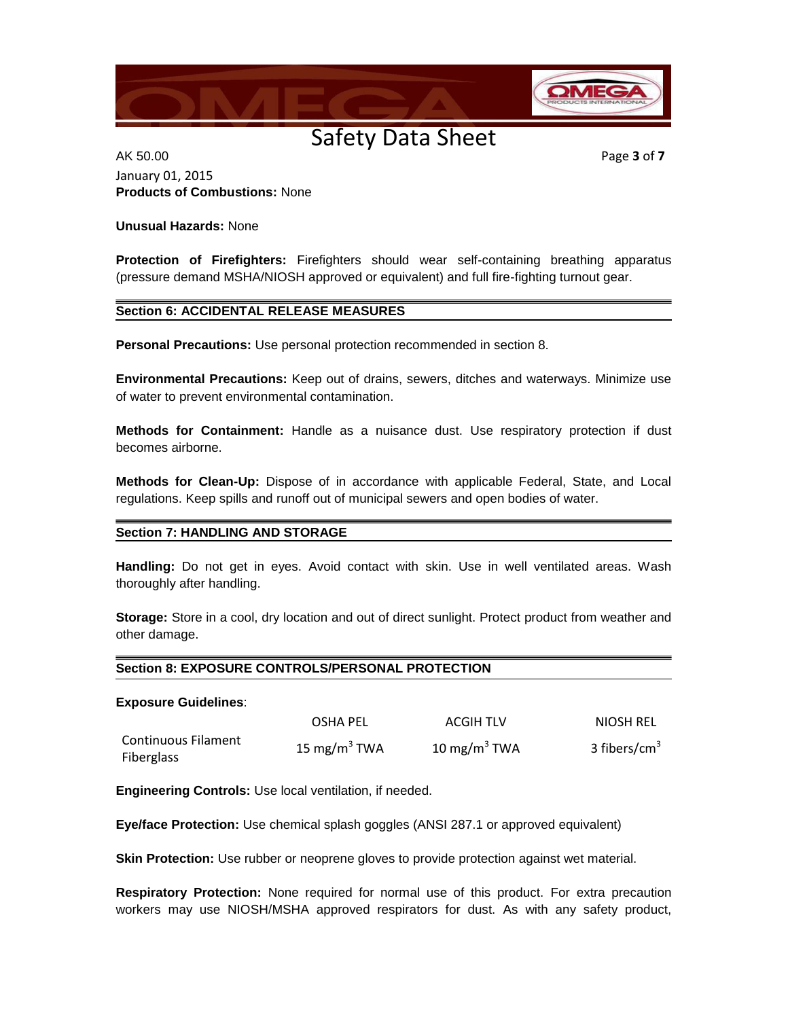

AK 50.00 Page **3** of **7** January 01, 2015 **Products of Combustions:** None

### **Unusual Hazards:** None

**Protection of Firefighters:** Firefighters should wear self-containing breathing apparatus (pressure demand MSHA/NIOSH approved or equivalent) and full fire-fighting turnout gear.

### **Section 6: ACCIDENTAL RELEASE MEASURES**

**Personal Precautions:** Use personal protection recommended in section 8.

**Environmental Precautions:** Keep out of drains, sewers, ditches and waterways. Minimize use of water to prevent environmental contamination.

**Methods for Containment:** Handle as a nuisance dust. Use respiratory protection if dust becomes airborne.

**Methods for Clean-Up:** Dispose of in accordance with applicable Federal, State, and Local regulations. Keep spills and runoff out of municipal sewers and open bodies of water.

### **Section 7: HANDLING AND STORAGE**

**Handling:** Do not get in eyes. Avoid contact with skin. Use in well ventilated areas. Wash thoroughly after handling.

**Storage:** Store in a cool, dry location and out of direct sunlight. Protect product from weather and other damage.

### **Section 8: EXPOSURE CONTROLS/PERSONAL PROTECTION**

#### **Exposure Guidelines**:

|                                   | <b>OSHA PEL</b>          | <b>ACGIH TLV</b>         | NIOSH REL       |
|-----------------------------------|--------------------------|--------------------------|-----------------|
| Continuous Filament<br>Fiberglass | 15 mg/m <sup>3</sup> TWA | 10 mg/m <sup>3</sup> TWA | 3 fibers/cm $3$ |

**Engineering Controls:** Use local ventilation, if needed.

**Eye/face Protection:** Use chemical splash goggles (ANSI 287.1 or approved equivalent)

**Skin Protection:** Use rubber or neoprene gloves to provide protection against wet material.

**Respiratory Protection:** None required for normal use of this product. For extra precaution workers may use NIOSH/MSHA approved respirators for dust. As with any safety product,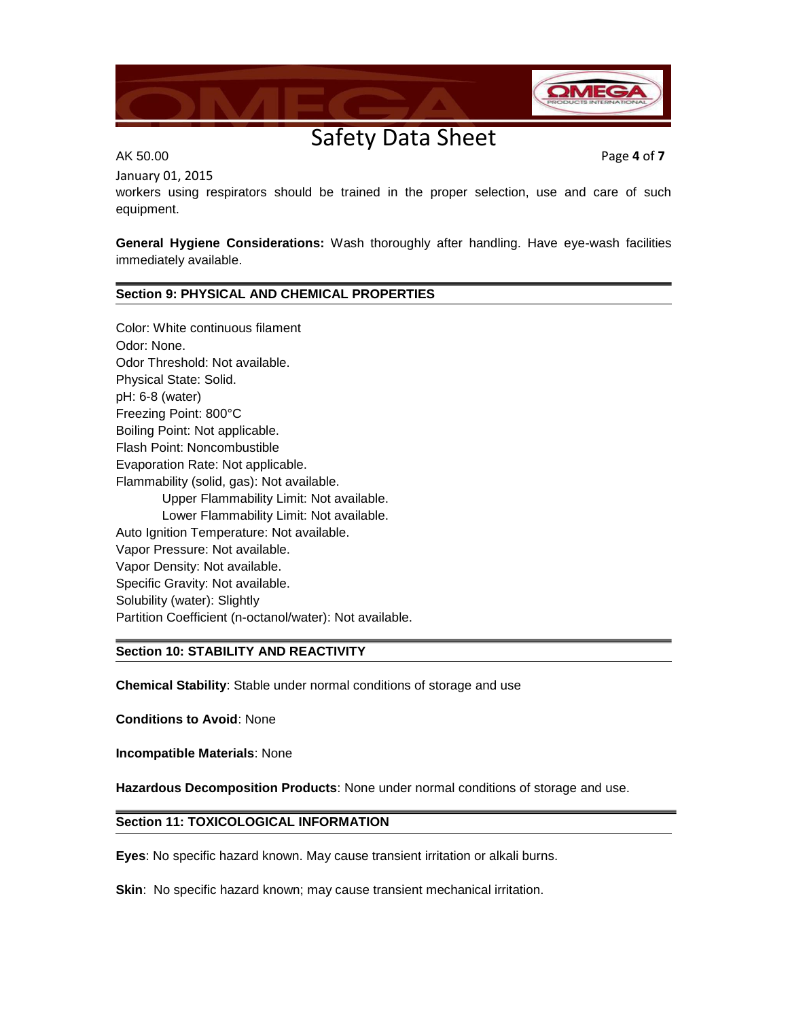

January 01, 2015

AK 50.00 Page **4** of **7**

workers using respirators should be trained in the proper selection, use and care of such equipment.

**General Hygiene Considerations:** Wash thoroughly after handling. Have eye-wash facilities immediately available.

### **Section 9: PHYSICAL AND CHEMICAL PROPERTIES**

Color: White continuous filament Odor: None. Odor Threshold: Not available. Physical State: Solid. pH: 6-8 (water) Freezing Point: 800°C Boiling Point: Not applicable. Flash Point: Noncombustible Evaporation Rate: Not applicable. Flammability (solid, gas): Not available. Upper Flammability Limit: Not available. Lower Flammability Limit: Not available. Auto Ignition Temperature: Not available. Vapor Pressure: Not available. Vapor Density: Not available. Specific Gravity: Not available. Solubility (water): Slightly Partition Coefficient (n-octanol/water): Not available.

### **Section 10: STABILITY AND REACTIVITY**

**Chemical Stability**: Stable under normal conditions of storage and use

**Conditions to Avoid**: None

**Incompatible Materials**: None

**Hazardous Decomposition Products**: None under normal conditions of storage and use.

### **Section 11: TOXICOLOGICAL INFORMATION**

**Eyes**: No specific hazard known. May cause transient irritation or alkali burns.

**Skin**: No specific hazard known; may cause transient mechanical irritation.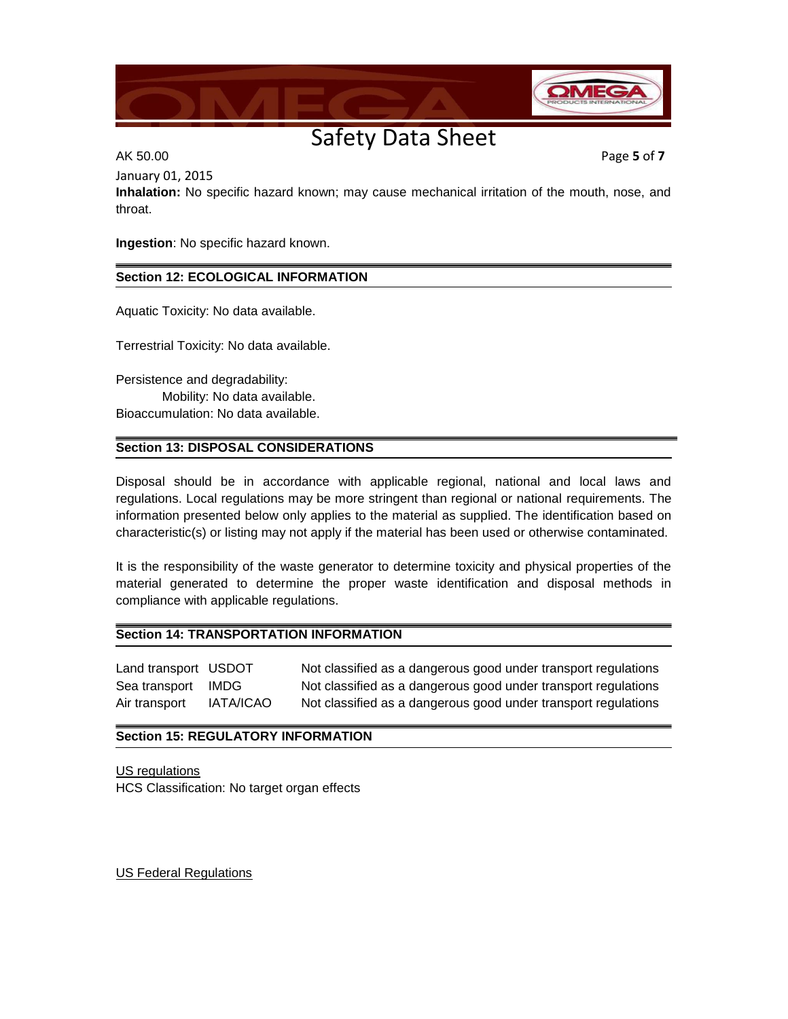

AK 50.00 Page **5** of **7**

January 01, 2015

**Inhalation:** No specific hazard known; may cause mechanical irritation of the mouth, nose, and throat.

**Ingestion**: No specific hazard known.

### **Section 12: ECOLOGICAL INFORMATION**

Aquatic Toxicity: No data available.

Terrestrial Toxicity: No data available.

Persistence and degradability: Mobility: No data available. Bioaccumulation: No data available.

### **Section 13: DISPOSAL CONSIDERATIONS**

Disposal should be in accordance with applicable regional, national and local laws and regulations. Local regulations may be more stringent than regional or national requirements. The information presented below only applies to the material as supplied. The identification based on characteristic(s) or listing may not apply if the material has been used or otherwise contaminated.

It is the responsibility of the waste generator to determine toxicity and physical properties of the material generated to determine the proper waste identification and disposal methods in compliance with applicable regulations.

### **Section 14: TRANSPORTATION INFORMATION**

Land transport USDOT Not classified as a dangerous good under transport regulations Sea transport IMDG Not classified as a dangerous good under transport regulations Air transport IATA/ICAO Not classified as a dangerous good under transport regulations

### **Section 15: REGULATORY INFORMATION**

US regulations HCS Classification: No target organ effects

US Federal Regulations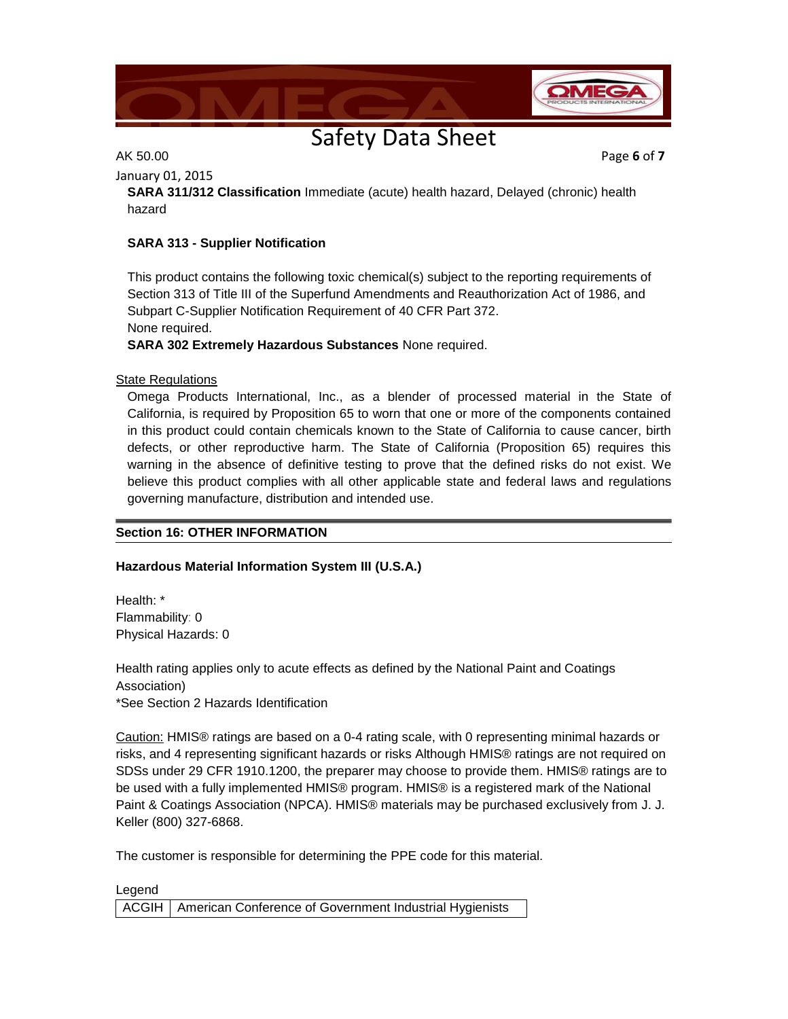

AK 50.00 Page **6** of **7**

January 01, 2015

hazard

**SARA 311/312 Classification** Immediate (acute) health hazard, Delayed (chronic) health

### **SARA 313 - Supplier Notification**

This product contains the following toxic chemical(s) subject to the reporting requirements of Section 313 of Title III of the Superfund Amendments and Reauthorization Act of 1986, and Subpart C-Supplier Notification Requirement of 40 CFR Part 372. None required.

**SARA 302 Extremely Hazardous Substances** None required.

### State Regulations

Omega Products International, Inc., as a blender of processed material in the State of California, is required by Proposition 65 to worn that one or more of the components contained in this product could contain chemicals known to the State of California to cause cancer, birth defects, or other reproductive harm. The State of California (Proposition 65) requires this warning in the absence of definitive testing to prove that the defined risks do not exist. We believe this product complies with all other applicable state and federal laws and regulations governing manufacture, distribution and intended use.

### **Section 16: OTHER INFORMATION**

### **Hazardous Material Information System III (U.S.A.)**

Health: \* Flammability: 0 Physical Hazards: 0

Health rating applies only to acute effects as defined by the National Paint and Coatings Association) \*See Section 2 Hazards Identification

Caution: HMIS® ratings are based on a 0-4 rating scale, with 0 representing minimal hazards or risks, and 4 representing significant hazards or risks Although HMIS® ratings are not required on SDSs under 29 CFR 1910.1200, the preparer may choose to provide them. HMIS® ratings are to be used with a fully implemented HMIS® program. HMIS® is a registered mark of the National Paint & Coatings Association (NPCA). HMIS® materials may be purchased exclusively from J. J. Keller (800) 327-6868.

The customer is responsible for determining the PPE code for this material.

Legend ACGIH | American Conference of Government Industrial Hygienists